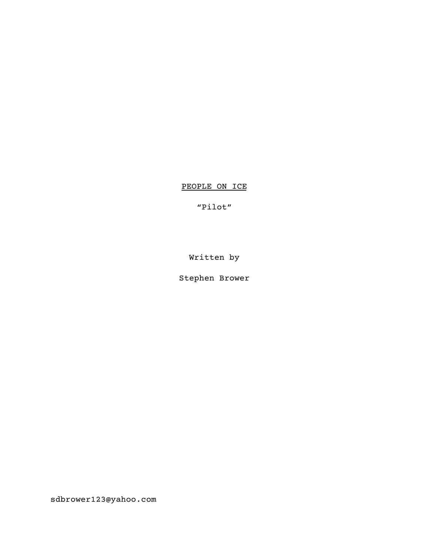PEOPLE ON ICE

"Pilot"

Written by

Stephen Brower

sdbrower123@yahoo.com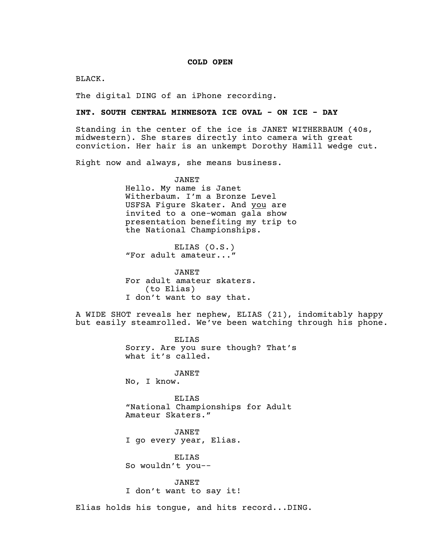### **COLD OPEN**

BLACK.

The digital DING of an iPhone recording.

### **INT. SOUTH CENTRAL MINNESOTA ICE OVAL - ON ICE - DAY**

Standing in the center of the ice is JANET WITHERBAUM (40s, midwestern). She stares directly into camera with great conviction. Her hair is an unkempt Dorothy Hamill wedge cut.

Right now and always, she means business.

JANET Hello. My name is Janet Witherbaum. I'm a Bronze Level USFSA Figure Skater. And you are invited to a one-woman gala show presentation benefiting my trip to the National Championships.

ELIAS (O.S.) "For adult amateur..."

JANET For adult amateur skaters. (to Elias) I don't want to say that.

A WIDE SHOT reveals her nephew, ELIAS (21), indomitably happy but easily steamrolled. We've been watching through his phone.

> ELIAS Sorry. Are you sure though? That's what it's called.

JANET

No, I know.

ELIAS "National Championships for Adult Amateur Skaters."

JANET I go every year, Elias.

ELIAS So wouldn't you--

JANET I don't want to say it!

Elias holds his tongue, and hits record...DING.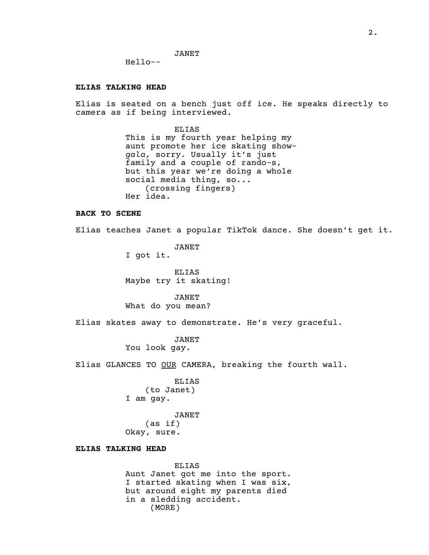JANET

Hello--

#### **ELIAS TALKING HEAD**

Elias is seated on a bench just off ice. He speaks directly to camera as if being interviewed.

> ELIAS This is my fourth year helping my aunt promote her ice skating show*gala,* sorry. Usually it's just family and a couple of rando-s, but this year we're doing a whole social media thing, so... (crossing fingers) Her idea.

# **BACK TO SCENE**

Elias teaches Janet a popular TikTok dance. She doesn't get it.

JANET I got it.

ELIAS Maybe try it skating!

JANET What do you mean?

Elias skates away to demonstrate. He's very graceful.

JANET You look gay.

Elias GLANCES TO OUR CAMERA, breaking the fourth wall.

ELIAS (to Janet) I am gay.

JANET (as if) Okay, sure.

# **ELIAS TALKING HEAD**

ELIAS Aunt Janet got me into the sport. I started skating when I was six, but around eight my parents died in a sledding accident. (MORE)